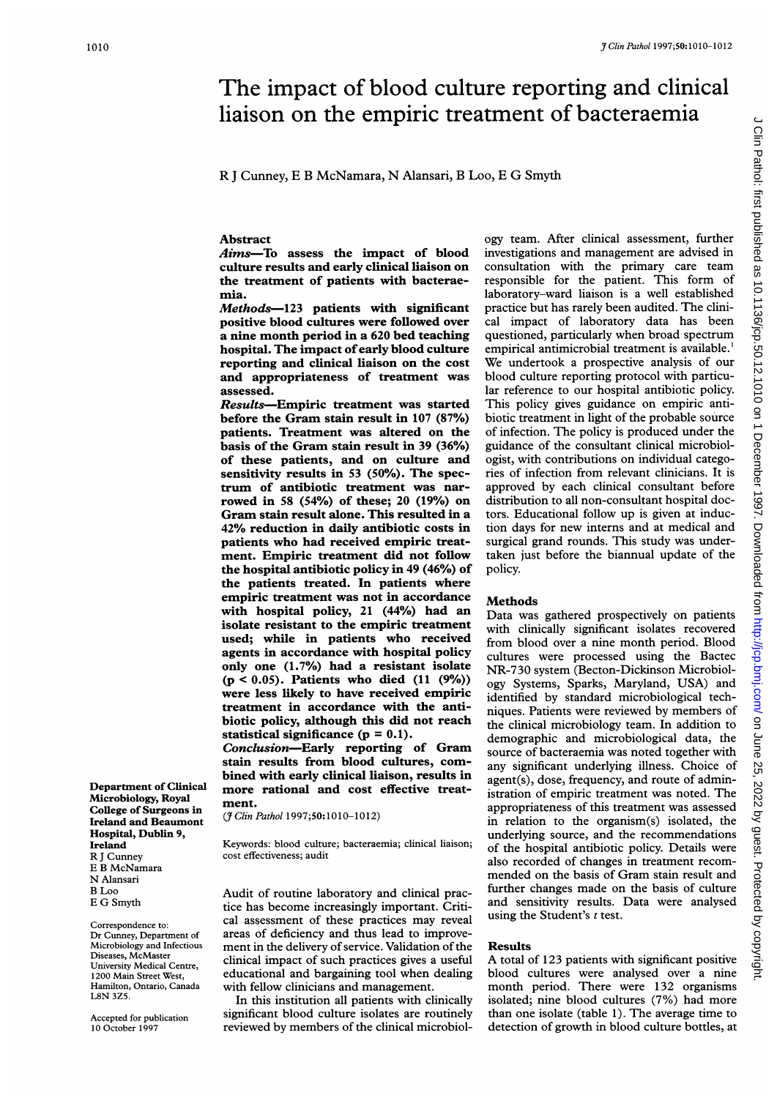# The impact of blood culture reporting and clinical<br>liaison on the empiric treatment of bacteraemia<br>RJ Cunney, E B McNamara, N Alansari, B Loo, E G Smyth<br>Abstract ogy team. After clinical assessment, further The impact of blood culture reporting and clinical liaison on the empiric treatment of bacteraemia

R <sup>J</sup> Cunney, E B McNamara, N Alansari, B Loo, E G Smyth

# **Abstract**

Aims-To assess the impact of blood culture results and early clinical liaison on the treatment of patients with bacteraemia.

Methods-123 patients with significant positive blood cultures were followed over a nine month period in a 620 bed teaching hospital. The impact of early blood culture reporting and clinical liaison on the cost and appropriateness of treatment was assessed.

Results-Empiric treatment was started before the Gram stain result in <sup>107</sup> (87%) patients. Treatment was altered on the basis of the Gram stain result in <sup>39</sup> (36%) of these patients, and on culture and sensitivity results in 53 (50%). The spectrum of antibiotic treatment was narrowed in 58 (54%) of these; 20 (19%) on Gram stain result alone. This resulted in a 42% reduction in daily antibiotic costs in patients who had received empiric treatment. Empiric treatment did not follow the hospital antibiotic policy in 49 (46%) of the patients treated. In patients where empiric treatment was not in accordance with hospital policy, 21 (44%) had an isolate resistant to the empiric treatment used; while in patients who received agents in accordance with hospital policy only one (1.7%) had a resistant isolate (p < 0.05). Patients who died (11 (9%)) were less likely to have received empiric treatment in accordance with the antibiotic policy, although this did not reach statistical significance  $(p = 0.1)$ . Conclusion-Early reporting of Gram

stain results from blood cultures, combined with early clinical liaison, results in more rational and cost effective treatment.

( Clin Pathol 1997;50:1010-1012)

Keywords: blood culture; bacteraemia; clinical liaison; cost effectiveness; audit

Audit of routine laboratory and clinical practice has become increasingly important. Critical assessment of these practices may reveal areas of deficiency and thus lead to improvement in the delivery of service. Validation of the clinical impact of such practices gives a useful educational and bargaining tool when dealing with fellow clinicians and management.

In this institution all patients with clinically significant blood culture isolates are routinely reviewed by members of the clinical microbiology team. After clinical assessment, further investigations and management are advised in consultation with the primary care team responsible for the patient. This form of laboratory-ward liaison is a well established practice but has rarely been audited. The clinical impact of laboratory data has been questioned, particularly when broad spectrum empirical antimicrobial treatment is available.' We undertook <sup>a</sup> prospective analysis of our blood culture reporting protocol with particular reference to our hospital antibiotic policy. This policy gives guidance on empiric antibiotic treatment in light of the probable source of infection. The policy is produced under the guidance of the consultant clinical microbiologist, with contributions on individual categories of infection from relevant clinicians. It is approved by each clinical consultant before distribution to all non-consultant hospital doctors. Educational follow up is given at induction days for new interns and at medical and surgical grand rounds. This study was undertaken just before the biannual update of the policy.

### **Methods**

Data was gathered prospectively on patients with clinically significant isolates recovered from blood over a nine month period. Blood cultures were processed using the Bactec NR-730 system (Becton-Dickinson Microbiology Systems, Sparks, Maryland, USA) and identified by standard microbiological techniques. Patients were reviewed by members of the clinical microbiology team. In addition to demographic and microbiological data, the source of bacteraemia was noted together with any significant underlying illness. Choice of agent(s), dose, frequency, and route of administration of empiric treatment was noted. The appropriateness of this treatment was assessed in relation to the organism(s) isolated, the underlying source, and the recommendations of the hospital antibiotic policy. Details were also recorded of changes in treatment recommended on the basis of Gram stain result and further changes made on the basis of culture and sensitivity results. Data were analysed using the Student's  $t$  test.

# Results

A total of <sup>123</sup> patients with significant positive blood cultures were analysed over a nine month period. There were 132 organisms isolated; nine blood cultures (7%) had more than one isolate (table 1). The average time to detection of growth in blood culture bottles, at

Department of Clinical Microbiology, Royal College of Surgeons in Ireland and Beaumont Hospital, Dublin 9, Ireland R <sup>J</sup> Cunney E B McNamara N Alansari B Loo E G Smyth

Correspondence to: Dr Cunney, Department of Microbiology and Infectious Diseases, McMaster University Medical Centre, 1200 Main Street West, Hamilton, Ontario, Canada L8N 3Z5.

Accepted for publication 10 October 1997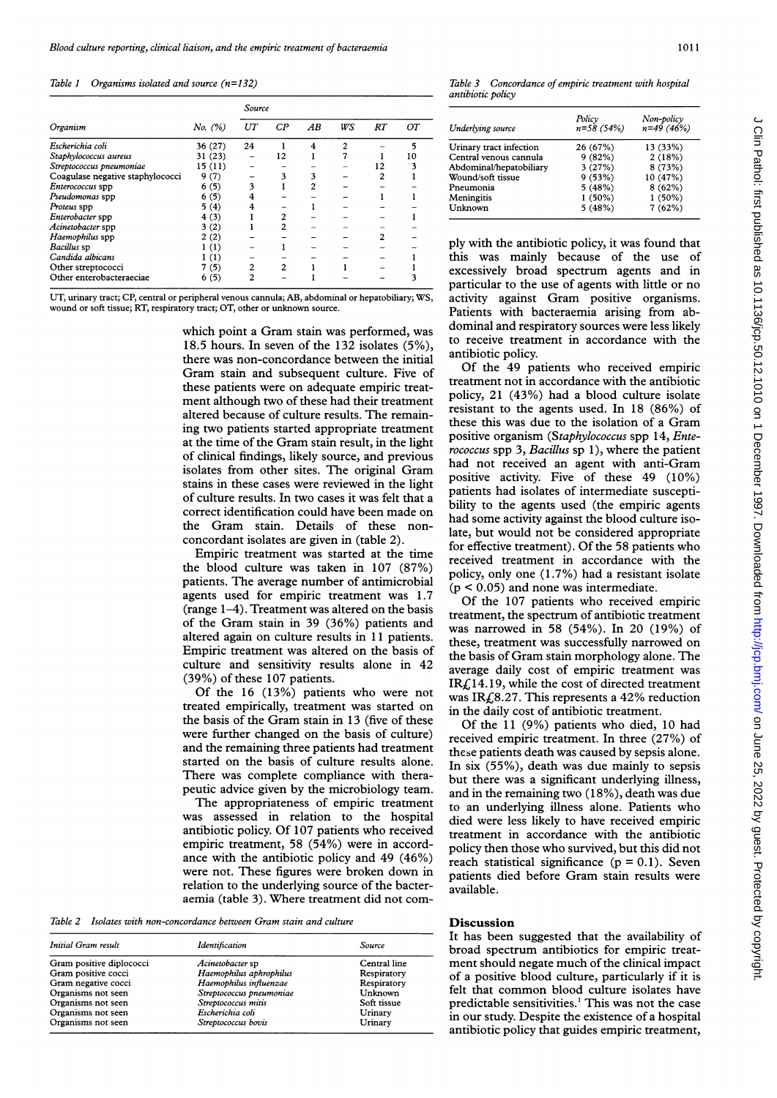### Table 1 Organisms isolated and source  $(n=132)$

|                                  | No. (%) | Source |                |    |     |    |    |
|----------------------------------|---------|--------|----------------|----|-----|----|----|
| Organism                         |         | UT     | CP             | AB | W.S | RT | OТ |
| Escherichia coli                 | 36 (27) | 24     |                | 4  |     |    |    |
| Staphylococcus aureus            | 31 (23) |        | 12             |    |     |    | ١O |
| Streptococcus pneumoniae         | 15(11)  |        |                |    |     | 12 |    |
| Coagulase negative staphylococci | 9(7)    |        |                |    |     |    |    |
| <i>Enterococcus</i> spp          | 6(5)    |        |                |    |     |    |    |
| Pseudomonas spp                  | 6(5)    |        |                |    |     |    |    |
| Proteus spp                      | 5(4)    |        |                |    |     |    |    |
| Enterobacter spp                 | 4(3)    |        |                |    |     |    |    |
| Acinetobacter spp                | 3(2)    |        | $\overline{c}$ |    |     |    |    |
| Haemophilus spp                  | 2(2)    |        |                |    |     | 2  |    |
| Bacillus sp                      | 1(1)    |        |                |    |     |    |    |
| Candida albicans                 | (1)     |        |                |    |     |    |    |
| Other streptococci               | 7(5)    | 2      | 2              |    |     |    |    |
| Other enterobacteraeciae         | 6(5)    |        |                |    |     |    |    |

UT, urinary tract; CP, central or peripheral venous cannula; AB, abdominal or hepatobiliary; WS, wound or soft tissue; RT, respiratory tract; OT, other or unknown source.

> which point <sup>a</sup> Gram stain was performed, was 18.5 hours. In seven of the 132 isolates (5%), there was non-concordance between the initial Gram stain and subsequent culture. Five of these patients were on adequate empiric treatment although two of these had their treatment altered because of culture results. The remaining two patients started appropriate treatment at the time of the Gram stain result, in the light of clinical findings, likely source, and previous isolates from other sites. The original Gram stains in these cases were reviewed in the light of culture results. In two cases it was felt that a correct identification could have been made on the Gram stain. Details of these nonconcordant isolates are given in (table 2).

> Empiric treatment was started at the time the blood culture was taken in 107 (87%) patients. The average number of antimicrobial agents used for empiric treatment was 1.7 (range 1-4). Treatment was altered on the basis of the Gram stain in 39 (36%) patients and altered again on culture results in 11 patients. Empiric treatment was altered on the basis of culture and sensitivity results alone in 42 (39%) of these 107 patients.

> Of the 16 (13%) patients who were not treated empirically, treatment was started on the basis of the Gram stain in 13 (five of these were further changed on the basis of culture) and the remaining three patients had treatment started on the basis of culture results alone. There was complete compliance with therapeutic advice given by the microbiology team.

> The appropriateness of empiric treatment was assessed in relation to the hospital antibiotic policy. Of 107 patients who received empiric treatment, 58 (54%) were in accordance with the antibiotic policy and 49 (46%) were not. These figures were broken down in relation to the underlying source of the bacteraemia (table 3). Where treatment did not com-

Table 2 Isolates with non-concordance between Gram stain and culture

| Initial Gram result      | Identification           | Source       |  |
|--------------------------|--------------------------|--------------|--|
| Gram positive diplococci | Acinetobacter sp         | Central line |  |
| Gram positive cocci      | Haemophilus aphrophilus  | Respiratory  |  |
| Gram negative cocci      | Haemophilus influenzae   | Respiratory  |  |
| Organisms not seen       | Streptococcus pneumoniae | Unknown      |  |
| Organisms not seen       | Streptococcus mitis      | Soft tissue  |  |
| Organisms not seen       | Escherichia coli         | Urinary      |  |
| Organisms not seen       | Streptococcus bovis      | Urinary      |  |

Table 3 Concordance of empiric treatment with hospital antibiotic policy

| Underlying source       | Policy<br>$n = 58(54%)$ | Non-policy<br>$n=49(46%)$ |
|-------------------------|-------------------------|---------------------------|
| Urinary tract infection | 26 (67%)                | 13 (33%)                  |
| Central venous cannula  | 9(82%)                  | 2(18%)                    |
| Abdominal/hepatobiliary | 3(27%)                  | 8(73%)                    |
| Wound/soft tissue       | 9(53%)                  | 10 (47%)                  |
| Pneumonia               | 5(48%)                  | 8(62%)                    |
| Meningitis              | $1(50\%)$               | $1(50\%)$                 |
| Unknown                 | 5(48%)                  | 7(62%)                    |

ply with the antibiotic policy, it was found that this was mainly because of the use of excessively broad spectrum agents and in particular to the use of agents with little or no activity against Gram positive organisms. Patients with bacteraemia arising from abdominal and respiratory sources were less likely to receive treatment in accordance with the antibiotic policy.

Of the 49 patients who received empiric treatment not in accordance with the antibiotic policy, 21 (43%) had a blood culture isolate resistant to the agents used. In 18 (86%) of these this was due to the isolation of <sup>a</sup> Gram positive organism (Staphylococcus spp 14, Enterococcus spp 3, Bacillus sp 1), where the patient had not received an agent with anti-Gram positive activity. Five of these 49 (10%) patients had isolates of intermediate susceptibility to the agents used (the empiric agents had some activity against the blood culture isolate, but would not be considered appropriate for effective treatment). Of the 58 patients who received treatment in accordance with the policy, only one (1.7%) had a resistant isolate  $(p < 0.05)$  and none was intermediate.

Of the 107 patients who received empiric treatment, the spectrum of antibiotic treatment was narrowed in 58 (54%). In 20 (19%) of these, treatment was successfully narrowed on the basis of Gram stain morphology alone. The average daily cost of empiric treatment was  $IRf<sub>14.19</sub>$ , while the cost of directed treatment was IR $\text{\textsterling}8.27$ . This represents a 42% reduction in the daily cost of antibiotic treatment.

Of the 11 (9%) patients who died, 10 had received empiric treatment. In three (27%) of these patients death was caused by sepsis alone. In six (55%), death was due mainly to sepsis but there was a significant underlying illness, and in the remaining two (18%), death was due to an underlying illness alone. Patients who died were less likely to have received empiric treatment in accordance with the antibiotic policy then those who survived, but this did not reach statistical significance  $(p = 0.1)$ . Seven patients died before Gram stain results were available.

# Discussion

It has been suggested that the availability of broad spectrum antibiotics for empiric treatment should negate much of the clinical impact of a positive blood culture, particularly if it is felt that common blood culture isolates have predictable sensitivities.' This was not the case in our study. Despite the existence of a hospital antibiotic policy that guides empiric treatment,